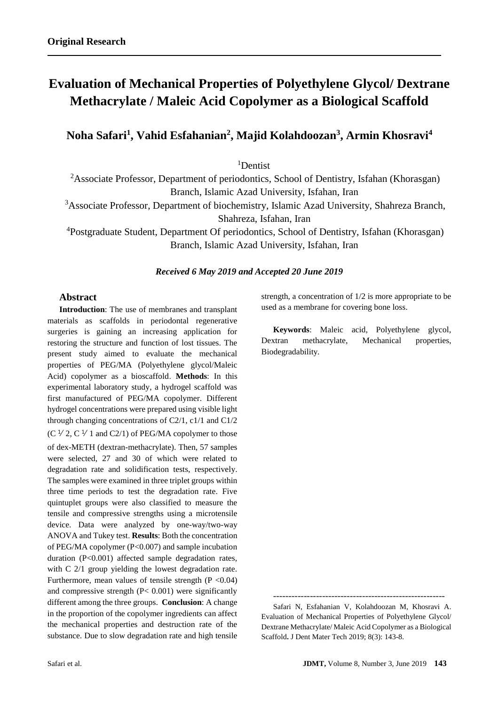# **Evaluation of Mechanical Properties of Polyethylene Glycol/ Dextrane Methacrylate / Maleic Acid Copolymer as a Biological Scaffold**

**Noha Safari<sup>1</sup> , Vahid Esfahanian<sup>2</sup> , Majid Kolahdoozan<sup>3</sup> , Armin Khosravi<sup>4</sup>**

<sup>1</sup>Dentist

<sup>2</sup>Associate Professor, Department of periodontics, School of Dentistry, Isfahan (Khorasgan) Branch, Islamic Azad University, Isfahan, Iran

<sup>3</sup>Associate Professor, Department of biochemistry, Islamic Azad University, Shahreza Branch,

Shahreza, Isfahan, Iran

<sup>4</sup>Postgraduate Student, Department Of periodontics, School of Dentistry, Isfahan (Khorasgan) Branch, Islamic Azad University, Isfahan, Iran

# *Received 6 May 2019 and Accepted 20 June 2019*

## **Abstract**

**Introduction**: The use of membranes and transplant materials as scaffolds in periodontal regenerative surgeries is gaining an increasing application for restoring the structure and function of lost tissues. The present study aimed to evaluate the mechanical properties of PEG/MA (Polyethylene glycol/Maleic Acid) copolymer as a bioscaffold. **Methods**: In this experimental laboratory study, a hydrogel scaffold was first manufactured of PEG/MA copolymer. Different hydrogel concentrations were prepared using visible light through changing concentrations of C2/1, c1/1 and C1/2  $(C \frac{1}{2}, C \frac{1}{1} \text{ and } C \frac{2}{1})$  of PEG/MA copolymer to those of dex-METH (dextran-methacrylate). Then, 57 samples were selected, 27 and 30 of which were related to degradation rate and solidification tests, respectively. The samples were examined in three triplet groups within three time periods to test the degradation rate. Five quintuplet groups were also classified to measure the tensile and compressive strengths using a microtensile device. Data were analyzed by one-way/two-way ANOVA and Tukey test. **Results**: Both the concentration of PEG/MA copolymer (P<0.007) and sample incubation duration (P<0.001) affected sample degradation rates, with C 2/1 group yielding the lowest degradation rate. Furthermore, mean values of tensile strength  $(P < 0.04)$ and compressive strength (P< 0.001) were significantly different among the three groups. **Conclusion**: A change in the proportion of the copolymer ingredients can affect the mechanical properties and destruction rate of the substance. Due to slow degradation rate and high tensile

strength, a concentration of 1/2 is more appropriate to be used as a membrane for covering bone loss.

**Keywords**: Maleic acid, Polyethylene glycol, Dextran methacrylate, Mechanical properties, Biodegradability.

--------------------------------------------------------

Safari N, Esfahanian V, Kolahdoozan M, Khosravi A. Evaluation of Mechanical Properties of Polyethylene Glycol/ Dextrane Methacrylate/ Maleic Acid Copolymer as a Biological Scaffold**.** J Dent Mater Tech 2019; 8(3): 143-8.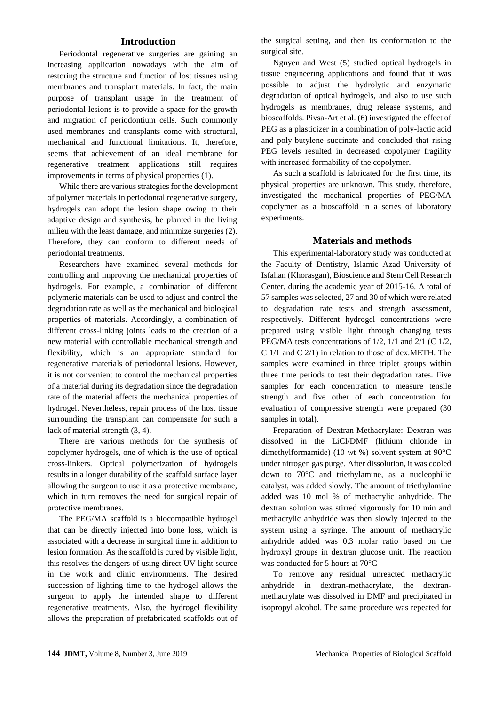# **Introduction**

Periodontal regenerative surgeries are gaining an increasing application nowadays with the aim of restoring the structure and function of lost tissues using membranes and transplant materials. In fact, the main purpose of transplant usage in the treatment of periodontal lesions is to provide a space for the growth and migration of periodontium cells. Such commonly used membranes and transplants come with structural, mechanical and functional limitations. It, therefore, seems that achievement of an ideal membrane for regenerative treatment applications still requires improvements in terms of physical properties (1).

While there are various strategies for the development of polymer materials in periodontal regenerative surgery, hydrogels can adopt the lesion shape owing to their adaptive design and synthesis, be planted in the living milieu with the least damage, and minimize surgeries (2). Therefore, they can conform to different needs of periodontal treatments.

Researchers have examined several methods for controlling and improving the mechanical properties of hydrogels. For example, a combination of different polymeric materials can be used to adjust and control the degradation rate as well as the mechanical and biological properties of materials. Accordingly, a combination of different cross-linking joints leads to the creation of a new material with controllable mechanical strength and flexibility, which is an appropriate standard for regenerative materials of periodontal lesions. However, it is not convenient to control the mechanical properties of a material during its degradation since the degradation rate of the material affects the mechanical properties of hydrogel. Nevertheless, repair process of the host tissue surrounding the transplant can compensate for such a lack of material strength (3, 4).

There are various methods for the synthesis of copolymer hydrogels, one of which is the use of optical cross-linkers. Optical polymerization of hydrogels results in a longer durability of the scaffold surface layer allowing the surgeon to use it as a protective membrane, which in turn removes the need for surgical repair of protective membranes.

The PEG/MA scaffold is a biocompatible hydrogel that can be directly injected into bone loss, which is associated with a decrease in surgical time in addition to lesion formation. As the scaffold is cured by visible light, this resolves the dangers of using direct UV light source in the work and clinic environments. The desired succession of lighting time to the hydrogel allows the surgeon to apply the intended shape to different regenerative treatments. Also, the hydrogel flexibility allows the preparation of prefabricated scaffolds out of the surgical setting, and then its conformation to the surgical site.

Nguyen and West (5) studied optical hydrogels in tissue engineering applications and found that it was possible to adjust the hydrolytic and enzymatic degradation of optical hydrogels, and also to use such hydrogels as membranes, drug release systems, and bioscaffolds. Pivsa-Art et al. (6) investigated the effect of PEG as a plasticizer in a combination of poly-lactic acid and poly-butylene succinate and concluded that rising PEG levels resulted in decreased copolymer fragility with increased formability of the copolymer.

As such a scaffold is fabricated for the first time, its physical properties are unknown. This study, therefore, investigated the mechanical properties of PEG/MA copolymer as a bioscaffold in a series of laboratory experiments.

#### **Materials and methods**

This experimental-laboratory study was conducted at the Faculty of Dentistry, Islamic Azad University of Isfahan (Khorasgan), Bioscience and Stem Cell Research Center, during the academic year of 2015-16. A total of 57 samples was selected, 27 and 30 of which were related to degradation rate tests and strength assessment, respectively. Different hydrogel concentrations were prepared using visible light through changing tests PEG/MA tests concentrations of 1/2, 1/1 and 2/1 (C 1/2, C 1/1 and C 2/1) in relation to those of dex.METH. The samples were examined in three triplet groups within three time periods to test their degradation rates. Five samples for each concentration to measure tensile strength and five other of each concentration for evaluation of compressive strength were prepared (30 samples in total).

Preparation of Dextran-Methacrylate: Dextran was dissolved in the LiCl/DMF (lithium chloride in dimethylformamide) (10 wt %) solvent system at 90°C under nitrogen gas purge. After dissolution, it was cooled down to 70°C and triethylamine, as a nucleophilic catalyst, was added slowly. The amount of triethylamine added was 10 mol % of methacrylic anhydride. The dextran solution was stirred vigorously for 10 min and methacrylic anhydride was then slowly injected to the system using a syringe. The amount of methacrylic anhydride added was 0.3 molar ratio based on the hydroxyl groups in dextran glucose unit. The reaction was conducted for 5 hours at 70°C

To remove any residual unreacted methacrylic anhydride in dextran-methacrylate, the dextranmethacrylate was dissolved in DMF and precipitated in isopropyl alcohol. The same procedure was repeated for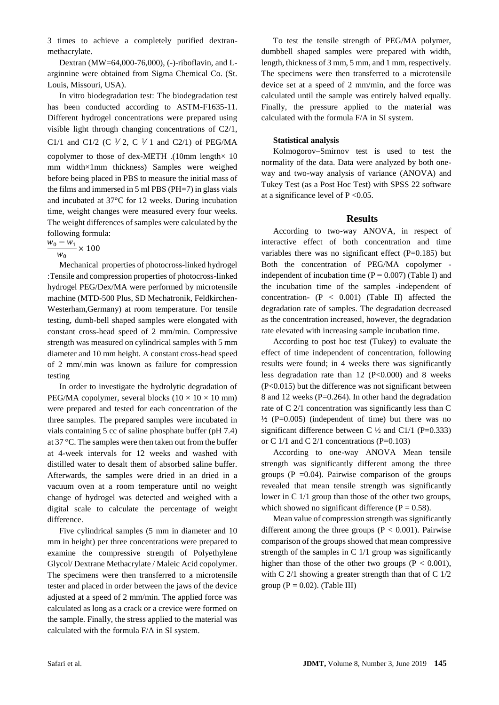3 times to achieve a completely purified dextranmethacrylate.

Dextran (MW=64,000-76,000), (-)-riboflavin, and Larginnine were obtained from Sigma Chemical Co. (St. Louis, Missouri, USA).

In vitro biodegradation test: The biodegradation test has been conducted according to ASTM-F1635-11. Different hydrogel concentrations were prepared using visible light through changing concentrations of C2/1, C1/1 and C1/2 (C  $\frac{1}{2}$ , C  $\frac{1}{1}$  and C2/1) of PEG/MA copolymer to those of dex-METH .(10mm length× 10 mm width×1mm thickness) Samples were weighed before being placed in PBS to measure the initial mass of the films and immersed in 5 ml PBS (PH=7) in glass vials and incubated at 37°C for 12 weeks. During incubation time, weight changes were measured every four weeks. The weight differences of samples were calculated by the following formula:

 $w_0 - w_1$  $\frac{1}{w_0}$  × 100

Mechanical properties of photocross-linked hydrogel :Tensile and compression properties of photocross-linked hydrogel PEG/Dex/MA were performed by microtensile machine (MTD-500 Plus, SD Mechatronik, Feldkirchen-Westerham,Germany) at room temperature. For tensile testing, dumb-bell shaped samples were elongated with constant cross-head speed of 2 mm/min. Compressive strength was measured on cylindrical samples with 5 mm diameter and 10 mm height. A constant cross-head speed of 2 mm/.min was known as failure for compression testing

In order to investigate the hydrolytic degradation of PEG/MA copolymer, several blocks ( $10 \times 10 \times 10$  mm) were prepared and tested for each concentration of the three samples. The prepared samples were incubated in vials containing 5 cc of saline phosphate buffer (pH 7.4) at 37 °C. The samples were then taken out from the buffer at 4-week intervals for 12 weeks and washed with distilled water to desalt them of absorbed saline buffer. Afterwards, the samples were dried in an dried in a vacuum oven at a room temperature until no weight change of hydrogel was detected and weighed with a digital scale to calculate the percentage of weight difference.

Five cylindrical samples (5 mm in diameter and 10 mm in height) per three concentrations were prepared to examine the compressive strength of Polyethylene Glycol/ Dextrane Methacrylate / Maleic Acid copolymer. The specimens were then transferred to a microtensile tester and placed in order between the jaws of the device adjusted at a speed of 2 mm/min. The applied force was calculated as long as a crack or a crevice were formed on the sample. Finally, the stress applied to the material was calculated with the formula F/A in SI system.

To test the tensile strength of PEG/MA polymer, dumbbell shaped samples were prepared with width, length, thickness of 3 mm, 5 mm, and 1 mm, respectively. The specimens were then transferred to a microtensile device set at a speed of 2 mm/min, and the force was calculated until the sample was entirely halved equally. Finally, the pressure applied to the material was calculated with the formula F/A in SI system.

## **Statistical analysis**

Kolmogorov–Smirnov test is used to test the normality of the data. Data were analyzed by both oneway and two-way analysis of variance (ANOVA) and Tukey Test (as a Post Hoc Test) with SPSS 22 software at a significance level of  $P < 0.05$ .

## **Results**

According to two-way ANOVA, in respect of interactive effect of both concentration and time variables there was no significant effect  $(P=0.185)$  but Both the concentration of PEG/MA copolymer independent of incubation time  $(P = 0.007)$  (Table I) and the incubation time of the samples -independent of concentration-  $(P < 0.001)$  (Table II) affected the degradation rate of samples. The degradation decreased as the concentration increased, however, the degradation rate elevated with increasing sample incubation time.

According to post hoc test (Tukey) to evaluate the effect of time independent of concentration, following results were found; in 4 weeks there was significantly less degradation rate than  $12 \text{ (P} < 0.000)$  and 8 weeks (P<0.015) but the difference was not significant between 8 and 12 weeks (P=0.264). In other hand the degradation rate of C 2/1 concentration was significantly less than C  $\frac{1}{2}$  (P=0.005) (independent of time) but there was no significant difference between C  $\frac{1}{2}$  and C1/1 (P=0.333) or C  $1/1$  and C  $2/1$  concentrations (P=0.103)

According to one-way ANOVA Mean tensile strength was significantly different among the three groups ( $P = 0.04$ ). Pairwise comparison of the groups revealed that mean tensile strength was significantly lower in C 1/1 group than those of the other two groups, which showed no significant difference ( $P = 0.58$ ).

Mean value of compression strength was significantly different among the three groups ( $P < 0.001$ ). Pairwise comparison of the groups showed that mean compressive strength of the samples in C 1/1 group was significantly higher than those of the other two groups ( $P < 0.001$ ), with C 2/1 showing a greater strength than that of C 1/2 group ( $P = 0.02$ ). (Table III)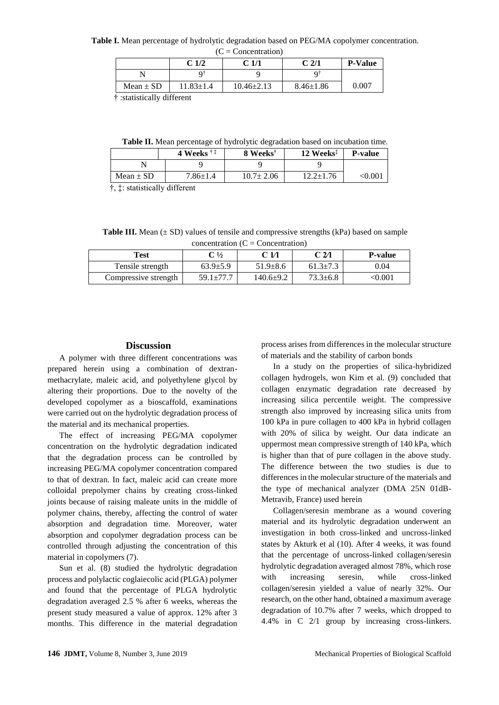**Table I.** Mean percentage of hydrolytic degradation based on PEG/MA copolymer concentration.

| $(C =$ Concentration) |                  |                  |                  |                |  |  |  |
|-----------------------|------------------|------------------|------------------|----------------|--|--|--|
|                       | C <sub>1/2</sub> | C <sub>1/1</sub> | C <sub>2/1</sub> | <b>P-Value</b> |  |  |  |
|                       |                  |                  |                  |                |  |  |  |
| Mean $\pm$ SD         | $11.83 \pm 1.4$  | $10.46 \pm 2.13$ | $8.46 \pm 1.86$  | 0.007          |  |  |  |

† :statistically different

**Table II.** Mean percentage of hydrolytic degradation based on incubation time.

|               | 4 Weeks $\ddagger$ $\ddagger$ | 8 Weeks <sup>†</sup> | 12 Weeks <sup>‡</sup> | <b>P-value</b> |
|---------------|-------------------------------|----------------------|-----------------------|----------------|
|               |                               |                      |                       |                |
| Mean $\pm$ SD | $7.86{\pm}1.4$                | $10.7 \pm 2.06$      | 12.2±1.76             | <0.001         |
|               |                               |                      |                       |                |

†, ‡: statistically different

**Table III.** Mean  $(\pm SD)$  values of tensile and compressive strengths (kPa) based on sample  $concentration (C = Concentration)$ 

| Test                 | $\rm C \, \frac{1}{2}$ | C 1/1           | C 2⁄1          | <b>P-value</b> |  |  |
|----------------------|------------------------|-----------------|----------------|----------------|--|--|
| Tensile strength     | $63.9 \pm 5.9$         | $51.9 \pm 8.6$  | $61.3 \pm 7.3$ | 0.04           |  |  |
| Compressive strength | $59.1 \pm 77.7$        | $140.6 \pm 9.2$ | $73.3 \pm 6.8$ | $<\!\!0.001$   |  |  |

#### **Discussion**

A polymer with three different concentrations was prepared herein using a combination of dextranmethacrylate, maleic acid, and polyethylene glycol by altering their proportions. Due to the novelty of the developed copolymer as a bioscaffold, examinations were carried out on the hydrolytic degradation process of the material and its mechanical properties.

The effect of increasing PEG/MA copolymer concentration on the hydrolytic degradation indicated that the degradation process can be controlled by increasing PEG/MA copolymer concentration compared to that of dextran. In fact, maleic acid can create more colloidal prepolymer chains by creating cross-linked joints because of raising maleate units in the middle of polymer chains, thereby, affecting the control of water absorption and degradation time. Moreover, water absorption and copolymer degradation process can be controlled through adjusting the concentration of this material in copolymers (7).

Sun et al. (8) studied the hydrolytic degradation process and polylactic coglaiecolic acid (PLGA) polymer and found that the percentage of PLGA hydrolytic degradation averaged 2.5 % after 6 weeks, whereas the present study measured a value of approx. 12% after 3 months. This difference in the material degradation process arises from differences in the molecular structure of materials and the stability of carbon bonds

In a study on the properties of silica-hybridized collagen hydrogels, won Kim et al. (9) concluded that collagen enzymatic degradation rate decreased by increasing silica percentile weight. The compressive strength also improved by increasing silica units from 100 kPa in pure collagen to 400 kPa in hybrid collagen with 20% of silica by weight. Our data indicate an uppermost mean compressive strength of 140 kPa, which is higher than that of pure collagen in the above study. The difference between the two studies is due to differences in the molecular structure of the materials and the type of mechanical analyzer (DMA 25N 01dB-Metravib, France) used herein

Collagen/seresin membrane as a wound covering material and its hydrolytic degradation underwent an investigation in both cross-linked and uncross-linked states by Akturk et al (10). After 4 weeks, it was found that the percentage of uncross-linked collagen/seresin hydrolytic degradation averaged almost 78%, which rose with increasing seresin, while cross-linked collagen/seresin yielded a value of nearly 32%. Our research, on the other hand, obtained a maximum average degradation of 10.7% after 7 weeks, which dropped to 4.4% in C 2/1 group by increasing cross-linkers.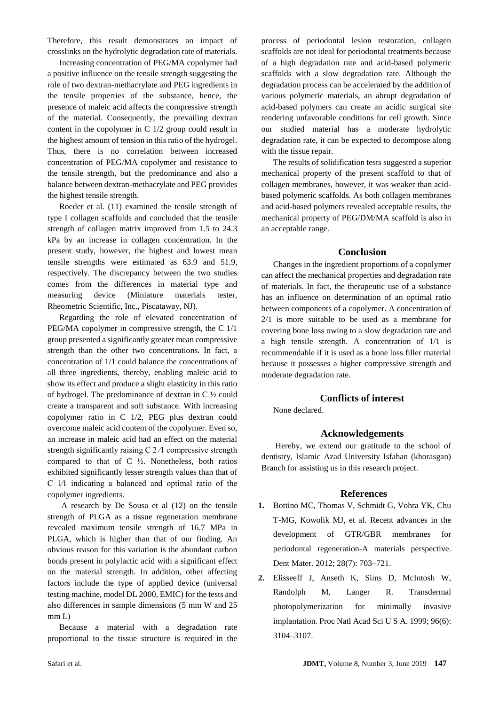Therefore, this result demonstrates an impact of crosslinks on the hydrolytic degradation rate of materials.

Increasing concentration of PEG/MA copolymer had a positive influence on the tensile strength suggesting the role of two dextran-methacrylate and PEG ingredients in the tensile properties of the substance, hence, the presence of maleic acid affects the compressive strength of the material. Consequently, the prevailing dextran content in the copolymer in C 1/2 group could result in the highest amount of tension in this ratio of the hydrogel. Thus, there is no correlation between increased concentration of PEG/MA copolymer and resistance to the tensile strength, but the predominance and also a balance between dextran-methacrylate and PEG provides the highest tensile strength.

Roeder et al. (11) examined the tensile strength of type I collagen scaffolds and concluded that the tensile strength of collagen matrix improved from 1.5 to 24.3 kPa by an increase in collagen concentration. In the present study, however, the highest and lowest mean tensile strengths were estimated as 63.9 and 51.9, respectively. The discrepancy between the two studies comes from the differences in material type and measuring device (Miniature materials tester, Rheometric Scientific, Inc., Piscataway, NJ).

Regarding the role of elevated concentration of PEG/MA copolymer in compressive strength, the C 1/1 group presented a significantly greater mean compressive strength than the other two concentrations. In fact, a concentration of 1/1 could balance the concentrations of all three ingredients, thereby, enabling maleic acid to show its effect and produce a slight elasticity in this ratio of hydrogel. The predominance of dextran in C ½ could create a transparent and soft substance. With increasing copolymer ratio in C 1/2, PEG plus dextran could overcome maleic acid content of the copolymer. Even so, an increase in maleic acid had an effect on the material strength significantly raising  $C$  2/1 compressive strength compared to that of C ½. Nonetheless, both ratios exhibited significantly lesser strength values than that of C 1⁄1 indicating a balanced and optimal ratio of the copolymer ingredients.

A research by De Sousa et al (12) on the tensile strength of PLGA as a tissue regeneration membrane revealed maximum tensile strength of 16.7 MPa in PLGA, which is higher than that of our finding. An obvious reason for this variation is the abundant carbon bonds present in polylactic acid with a significant effect on the material strength. In addition, other affecting factors include the type of applied device (universal testing machine, model DL 2000, EMIC) for the tests and also differences in sample dimensions (5 mm W and 25 mm L)

Because a material with a degradation rate proportional to the tissue structure is required in the process of periodontal lesion restoration, collagen scaffolds are not ideal for periodontal treatments because of a high degradation rate and acid-based polymeric scaffolds with a slow degradation rate. Although the degradation process can be accelerated by the addition of various polymeric materials, an abrupt degradation of acid-based polymers can create an acidic surgical site rendering unfavorable conditions for cell growth. Since our studied material has a moderate hydrolytic degradation rate, it can be expected to decompose along with the tissue repair.

The results of solidification tests suggested a superior mechanical property of the present scaffold to that of collagen membranes, however, it was weaker than acidbased polymeric scaffolds. As both collagen membranes and acid-based polymers revealed acceptable results, the mechanical property of PEG/DM/MA scaffold is also in an acceptable range.

## **Conclusion**

Changes in the ingredient proportions of a copolymer can affect the mechanical properties and degradation rate of materials. In fact, the therapeutic use of a substance has an influence on determination of an optimal ratio between components of a copolymer. A concentration of 2/1 is more suitable to be used as a membrane for covering bone loss owing to a slow degradation rate and a high tensile strength. A concentration of 1/1 is recommendable if it is used as a bone loss filler material because it possesses a higher compressive strength and moderate degradation rate.

# **Conflicts of interest**

None declared.

#### **Acknowledgements**

Hereby, we extend our gratitude to the school of dentistry, Islamic Azad University Isfahan (khorasgan) Branch for assisting us in this research project.

#### **References**

- **1.** Bottino MC, Thomas V, Schmidt G, Vohra YK, Chu T-MG, Kowolik MJ, et al. Recent advances in the development of GTR/GBR membranes for periodontal regeneration-A materials perspective. Dent Mater. 2012; 28(7): 703–721.
- **2.** Elisseeff J, Anseth K, Sims D, McIntosh W, Randolph M, Langer R. Transdermal photopolymerization for minimally invasive implantation. Proc Natl Acad Sci U S A. 1999; 96(6): 3104–3107.